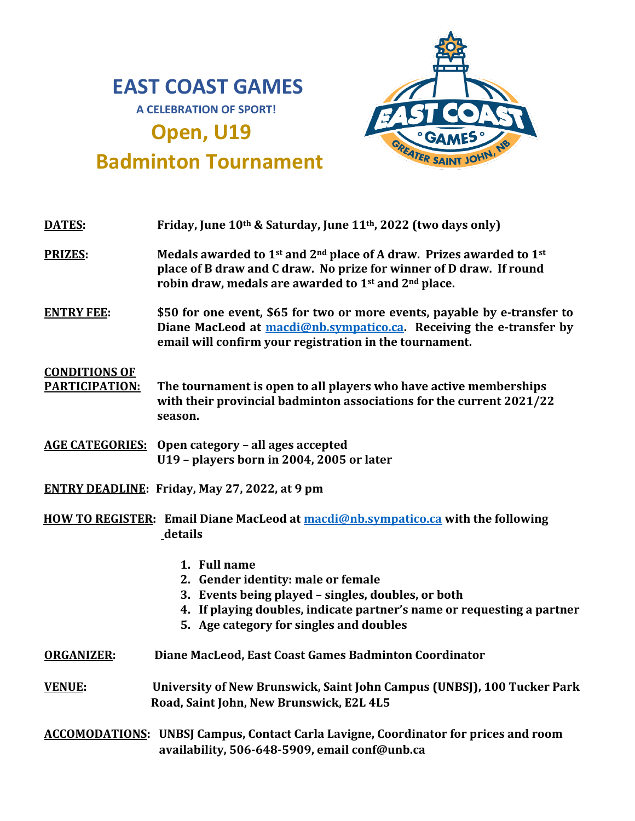## **EAST COAST GAMES A CELEBRATION OF SPORT!**

# **Open, U19**



## **Badminton Tournament**

| <b>DATES:</b>                                                                                | Friday, June 10th & Saturday, June 11th, 2022 (two days only)                                                                                                                                                                                                   |  |
|----------------------------------------------------------------------------------------------|-----------------------------------------------------------------------------------------------------------------------------------------------------------------------------------------------------------------------------------------------------------------|--|
| <b>PRIZES:</b>                                                                               | Medals awarded to 1 <sup>st</sup> and 2 <sup>nd</sup> place of A draw. Prizes awarded to 1 <sup>st</sup><br>place of B draw and C draw. No prize for winner of D draw. If round<br>robin draw, medals are awarded to 1 <sup>st</sup> and 2 <sup>nd</sup> place. |  |
| <b>ENTRY FEE:</b>                                                                            | \$50 for one event, \$65 for two or more events, payable by e-transfer to<br>Diane MacLeod at macdi@nb.sympatico.ca. Receiving the e-transfer by<br>email will confirm your registration in the tournament.                                                     |  |
| <b>CONDITIONS OF</b><br><b>PARTICIPATION:</b>                                                | The tournament is open to all players who have active memberships<br>with their provincial badminton associations for the current 2021/22<br>season.                                                                                                            |  |
|                                                                                              | <b>AGE CATEGORIES:</b> Open category – all ages accepted<br>U19 - players born in 2004, 2005 or later                                                                                                                                                           |  |
| <b>ENTRY DEADLINE: Friday, May 27, 2022, at 9 pm</b>                                         |                                                                                                                                                                                                                                                                 |  |
| HOW TO REGISTER: Email Diane MacLeod at macdi@nb.sympatico.ca with the following<br>_details |                                                                                                                                                                                                                                                                 |  |
|                                                                                              | 1. Full name<br>2. Gender identity: male or female<br>3. Events being played - singles, doubles, or both<br>4. If playing doubles, indicate partner's name or requesting a partner<br>5. Age category for singles and doubles                                   |  |
| <b>ORGANIZER:</b>                                                                            | Diane MacLeod, East Coast Games Badminton Coordinator                                                                                                                                                                                                           |  |
| <b>VENUE:</b>                                                                                | University of New Brunswick, Saint John Campus (UNBSJ), 100 Tucker Park<br>Road, Saint John, New Brunswick, E2L 4L5                                                                                                                                             |  |
|                                                                                              | <b>ACCOMODATIONS:</b> UNBSJ Campus, Contact Carla Lavigne, Coordinator for prices and room<br>availability, 506-648-5909, email conf@unb.ca                                                                                                                     |  |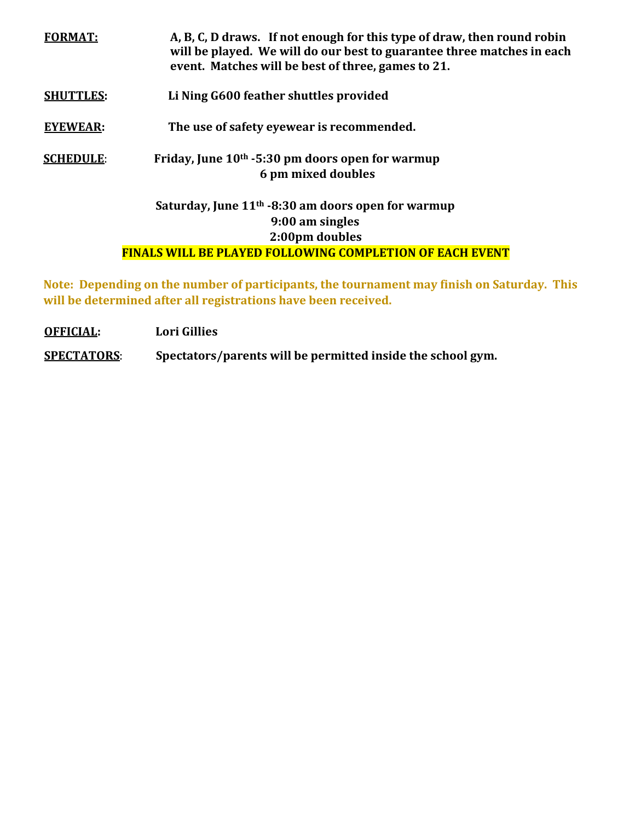| A, B, C, D draws. If not enough for this type of draw, then round robin<br>will be played. We will do our best to guarantee three matches in each<br>event. Matches will be best of three, games to 21. |
|---------------------------------------------------------------------------------------------------------------------------------------------------------------------------------------------------------|
| Li Ning G600 feather shuttles provided                                                                                                                                                                  |
| The use of safety eyewear is recommended.                                                                                                                                                               |
| Friday, June $10th$ -5:30 pm doors open for warmup<br>6 pm mixed doubles                                                                                                                                |
| Saturday, June $11th$ -8:30 am doors open for warmup<br>9:00 am singles<br>2:00pm doubles<br><b>FINALS WILL BE PLAYED FOLLOWING COMPLETION OF EACH EVENT</b>                                            |
|                                                                                                                                                                                                         |

**Note: Depending on the number of participants, the tournament may finish on Saturday. This will be determined after all registrations have been received.** 

**OFFICIAL: Lori Gillies**

**SPECTATORS**: **Spectators/parents will be permitted inside the school gym.**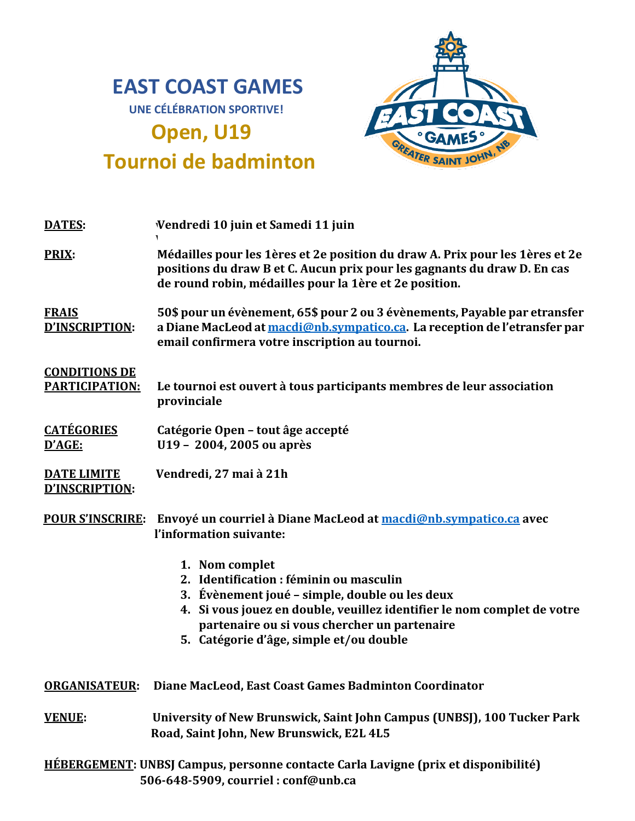## **EAST COAST GAMES UNE CÉLÉBRATION SPORTIVE!**

**Open, U19**

**Tournoi de badminton**



| <b>DATES:</b>                                 | Vendredi 10 juin et Samedi 11 juin                                                                                                                                                                                                                                                |
|-----------------------------------------------|-----------------------------------------------------------------------------------------------------------------------------------------------------------------------------------------------------------------------------------------------------------------------------------|
| <b>PRIX:</b>                                  | Médailles pour les 1ères et 2e position du draw A. Prix pour les 1ères et 2e<br>positions du draw B et C. Aucun prix pour les gagnants du draw D. En cas<br>de round robin, médailles pour la 1ère et 2e position.                                                                |
| <b>FRAIS</b><br>D'INSCRIPTION:                | 50\$ pour un évènement, 65\$ pour 2 ou 3 évènements, Payable par etransfer<br>a Diane MacLeod at macdi@nb.sympatico.ca. La reception de l'etransfer par<br>email confirmera votre inscription au tournoi.                                                                         |
| <b>CONDITIONS DE</b><br><b>PARTICIPATION:</b> | Le tournoi est ouvert à tous participants membres de leur association<br>provinciale                                                                                                                                                                                              |
| <b>CATÉGORIES</b><br>D'AGE:                   | Catégorie Open - tout âge accepté<br>U19 - 2004, 2005 ou après                                                                                                                                                                                                                    |
| <b>DATE LIMITE</b><br>D'INSCRIPTION:          | Vendredi, 27 mai à 21h                                                                                                                                                                                                                                                            |
| <b>POUR S'INSCRIRE:</b>                       | Envoyé un courriel à Diane MacLeod at macdi@nb.sympatico.ca avec<br>l'information suivante:                                                                                                                                                                                       |
|                                               | 1. Nom complet<br>2. Identification : féminin ou masculin<br>3. Évènement joué – simple, double ou les deux<br>4. Si vous jouez en double, veuillez identifier le nom complet de votre<br>partenaire ou si vous chercher un partenaire<br>5. Catégorie d'âge, simple et/ou double |
| <b>ORGANISATEUR:</b>                          | Diane MacLeod, East Coast Games Badminton Coordinator                                                                                                                                                                                                                             |
| <b>VENUE:</b>                                 | University of New Brunswick, Saint John Campus (UNBSJ), 100 Tucker Park<br>Road, Saint John, New Brunswick, E2L 4L5                                                                                                                                                               |

**HÉBERGEMENT: UNBSJ Campus, personne contacte Carla Lavigne (prix et disponibilité) 506-648-5909, courriel : conf@unb.ca**